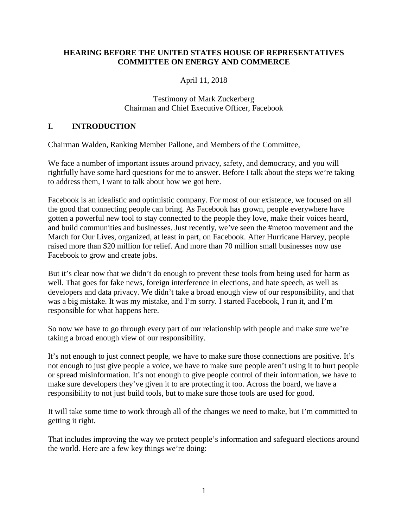### **HEARING BEFORE THE UNITED STATES HOUSE OF REPRESENTATIVES COMMITTEE ON ENERGY AND COMMERCE**

## April 11, 2018

#### Testimony of Mark Zuckerberg Chairman and Chief Executive Officer, Facebook

### **I. INTRODUCTION**

Chairman Walden, Ranking Member Pallone, and Members of the Committee,

We face a number of important issues around privacy, safety, and democracy, and you will rightfully have some hard questions for me to answer. Before I talk about the steps we're taking to address them, I want to talk about how we got here.

Facebook is an idealistic and optimistic company. For most of our existence, we focused on all the good that connecting people can bring. As Facebook has grown, people everywhere have gotten a powerful new tool to stay connected to the people they love, make their voices heard, and build communities and businesses. Just recently, we've seen the #metoo movement and the March for Our Lives, organized, at least in part, on Facebook. After Hurricane Harvey, people raised more than \$20 million for relief. And more than 70 million small businesses now use Facebook to grow and create jobs.

But it's clear now that we didn't do enough to prevent these tools from being used for harm as well. That goes for fake news, foreign interference in elections, and hate speech, as well as developers and data privacy. We didn't take a broad enough view of our responsibility, and that was a big mistake. It was my mistake, and I'm sorry. I started Facebook, I run it, and I'm responsible for what happens here.

So now we have to go through every part of our relationship with people and make sure we're taking a broad enough view of our responsibility.

It's not enough to just connect people, we have to make sure those connections are positive. It's not enough to just give people a voice, we have to make sure people aren't using it to hurt people or spread misinformation. It's not enough to give people control of their information, we have to make sure developers they've given it to are protecting it too. Across the board, we have a responsibility to not just build tools, but to make sure those tools are used for good.

It will take some time to work through all of the changes we need to make, but I'm committed to getting it right.

That includes improving the way we protect people's information and safeguard elections around the world. Here are a few key things we're doing: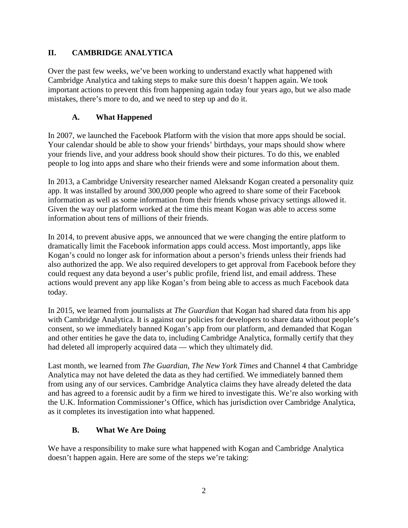# **II. CAMBRIDGE ANALYTICA**

Over the past few weeks, we've been working to understand exactly what happened with Cambridge Analytica and taking steps to make sure this doesn't happen again. We took important actions to prevent this from happening again today four years ago, but we also made mistakes, there's more to do, and we need to step up and do it.

# **A. What Happened**

In 2007, we launched the Facebook Platform with the vision that more apps should be social. Your calendar should be able to show your friends' birthdays, your maps should show where your friends live, and your address book should show their pictures. To do this, we enabled people to log into apps and share who their friends were and some information about them.

In 2013, a Cambridge University researcher named Aleksandr Kogan created a personality quiz app. It was installed by around 300,000 people who agreed to share some of their Facebook information as well as some information from their friends whose privacy settings allowed it. Given the way our platform worked at the time this meant Kogan was able to access some information about tens of millions of their friends.

In 2014, to prevent abusive apps, we announced that we were changing the entire platform to dramatically limit the Facebook information apps could access. Most importantly, apps like Kogan's could no longer ask for information about a person's friends unless their friends had also authorized the app. We also required developers to get approval from Facebook before they could request any data beyond a user's public profile, friend list, and email address. These actions would prevent any app like Kogan's from being able to access as much Facebook data today.

In 2015, we learned from journalists at *The Guardian* that Kogan had shared data from his app with Cambridge Analytica. It is against our policies for developers to share data without people's consent, so we immediately banned Kogan's app from our platform, and demanded that Kogan and other entities he gave the data to, including Cambridge Analytica, formally certify that they had deleted all improperly acquired data — which they ultimately did.

Last month, we learned from *The Guardian*, *The New York Times* and Channel 4 that Cambridge Analytica may not have deleted the data as they had certified. We immediately banned them from using any of our services. Cambridge Analytica claims they have already deleted the data and has agreed to a forensic audit by a firm we hired to investigate this. We're also working with the U.K. Information Commissioner's Office, which has jurisdiction over Cambridge Analytica, as it completes its investigation into what happened.

# **B. What We Are Doing**

We have a responsibility to make sure what happened with Kogan and Cambridge Analytica doesn't happen again. Here are some of the steps we're taking: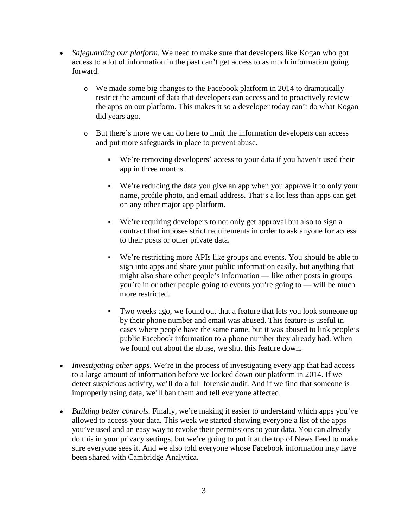- *Safeguarding our platform.* We need to make sure that developers like Kogan who got access to a lot of information in the past can't get access to as much information going forward.
	- o We made some big changes to the Facebook platform in 2014 to dramatically restrict the amount of data that developers can access and to proactively review the apps on our platform. This makes it so a developer today can't do what Kogan did years ago.
	- o But there's more we can do here to limit the information developers can access and put more safeguards in place to prevent abuse.
		- We're removing developers' access to your data if you haven't used their app in three months.
		- We're reducing the data you give an app when you approve it to only your name, profile photo, and email address. That's a lot less than apps can get on any other major app platform.
		- We're requiring developers to not only get approval but also to sign a contract that imposes strict requirements in order to ask anyone for access to their posts or other private data.
		- We're restricting more APIs like groups and events. You should be able to sign into apps and share your public information easily, but anything that might also share other people's information — like other posts in groups you're in or other people going to events you're going to — will be much more restricted.
		- Two weeks ago, we found out that a feature that lets you look someone up by their phone number and email was abused. This feature is useful in cases where people have the same name, but it was abused to link people's public Facebook information to a phone number they already had. When we found out about the abuse, we shut this feature down.
- *Investigating other apps.* We're in the process of investigating every app that had access to a large amount of information before we locked down our platform in 2014. If we detect suspicious activity, we'll do a full forensic audit. And if we find that someone is improperly using data, we'll ban them and tell everyone affected.
- *Building better controls.* Finally, we're making it easier to understand which apps you've allowed to access your data. This week we started showing everyone a list of the apps you've used and an easy way to revoke their permissions to your data. You can already do this in your privacy settings, but we're going to put it at the top of News Feed to make sure everyone sees it. And we also told everyone whose Facebook information may have been shared with Cambridge Analytica.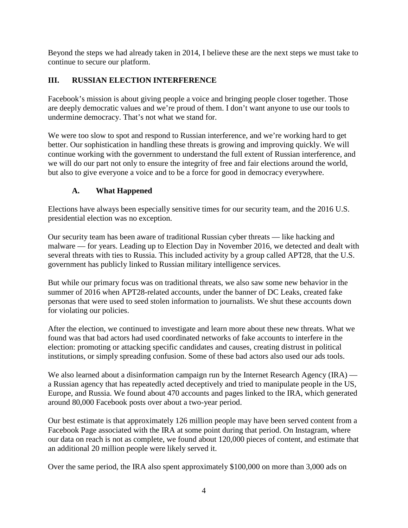Beyond the steps we had already taken in 2014, I believe these are the next steps we must take to continue to secure our platform.

## **III. RUSSIAN ELECTION INTERFERENCE**

Facebook's mission is about giving people a voice and bringing people closer together. Those are deeply democratic values and we're proud of them. I don't want anyone to use our tools to undermine democracy. That's not what we stand for.

We were too slow to spot and respond to Russian interference, and we're working hard to get better. Our sophistication in handling these threats is growing and improving quickly. We will continue working with the government to understand the full extent of Russian interference, and we will do our part not only to ensure the integrity of free and fair elections around the world, but also to give everyone a voice and to be a force for good in democracy everywhere.

# **A. What Happened**

Elections have always been especially sensitive times for our security team, and the 2016 U.S. presidential election was no exception.

Our security team has been aware of traditional Russian cyber threats — like hacking and malware — for years. Leading up to Election Day in November 2016, we detected and dealt with several threats with ties to Russia. This included activity by a group called APT28, that the U.S. government has publicly linked to Russian military intelligence services.

But while our primary focus was on traditional threats, we also saw some new behavior in the summer of 2016 when APT28-related accounts, under the banner of DC Leaks, created fake personas that were used to seed stolen information to journalists. We shut these accounts down for violating our policies.

After the election, we continued to investigate and learn more about these new threats. What we found was that bad actors had used coordinated networks of fake accounts to interfere in the election: promoting or attacking specific candidates and causes, creating distrust in political institutions, or simply spreading confusion. Some of these bad actors also used our ads tools.

We also learned about a disinformation campaign run by the Internet Research Agency (IRA) a Russian agency that has repeatedly acted deceptively and tried to manipulate people in the US, Europe, and Russia. We found about 470 accounts and pages linked to the IRA, which generated around 80,000 Facebook posts over about a two-year period.

Our best estimate is that approximately 126 million people may have been served content from a Facebook Page associated with the IRA at some point during that period. On Instagram, where our data on reach is not as complete, we found about 120,000 pieces of content, and estimate that an additional 20 million people were likely served it.

Over the same period, the IRA also spent approximately \$100,000 on more than 3,000 ads on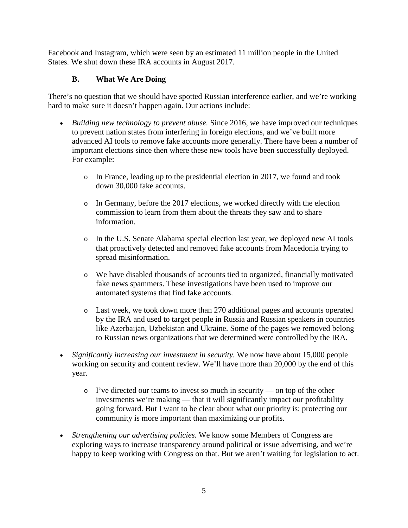Facebook and Instagram, which were seen by an estimated 11 million people in the United States. We shut down these IRA accounts in August 2017.

## **B. What We Are Doing**

There's no question that we should have spotted Russian interference earlier, and we're working hard to make sure it doesn't happen again. Our actions include:

- *Building new technology to prevent abuse.* Since 2016, we have improved our techniques to prevent nation states from interfering in foreign elections, and we've built more advanced AI tools to remove fake accounts more generally. There have been a number of important elections since then where these new tools have been successfully deployed. For example:
	- o In France, leading up to the presidential election in 2017, we found and took down 30,000 fake accounts.
	- o In Germany, before the 2017 elections, we worked directly with the election commission to learn from them about the threats they saw and to share information.
	- o In the U.S. Senate Alabama special election last year, we deployed new AI tools that proactively detected and removed fake accounts from Macedonia trying to spread misinformation.
	- o We have disabled thousands of accounts tied to organized, financially motivated fake news spammers. These investigations have been used to improve our automated systems that find fake accounts.
	- o Last week, we took down more than 270 additional pages and accounts operated by the IRA and used to target people in Russia and Russian speakers in countries like Azerbaijan, Uzbekistan and Ukraine. Some of the pages we removed belong to Russian news organizations that we determined were controlled by the IRA.
- *Significantly increasing our investment in security.* We now have about 15,000 people working on security and content review. We'll have more than 20,000 by the end of this year.
	- $\circ$  I've directed our teams to invest so much in security on top of the other investments we're making — that it will significantly impact our profitability going forward. But I want to be clear about what our priority is: protecting our community is more important than maximizing our profits.
- *Strengthening our advertising policies.* We know some Members of Congress are exploring ways to increase transparency around political or issue advertising, and we're happy to keep working with Congress on that. But we aren't waiting for legislation to act.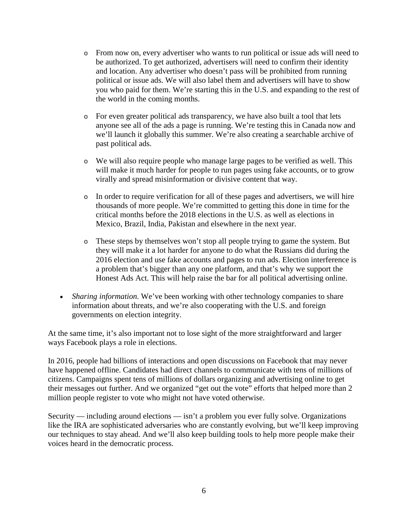- o From now on, every advertiser who wants to run political or issue ads will need to be authorized. To get authorized, advertisers will need to confirm their identity and location. Any advertiser who doesn't pass will be prohibited from running political or issue ads. We will also label them and advertisers will have to show you who paid for them. We're starting this in the U.S. and expanding to the rest of the world in the coming months.
- o For even greater political ads transparency, we have also built a tool that lets anyone see all of the ads a page is running. We're testing this in Canada now and we'll launch it globally this summer. We're also creating a searchable archive of past political ads.
- o We will also require people who manage large pages to be verified as well. This will make it much harder for people to run pages using fake accounts, or to grow virally and spread misinformation or divisive content that way.
- o In order to require verification for all of these pages and advertisers, we will hire thousands of more people. We're committed to getting this done in time for the critical months before the 2018 elections in the U.S. as well as elections in Mexico, Brazil, India, Pakistan and elsewhere in the next year.
- o These steps by themselves won't stop all people trying to game the system. But they will make it a lot harder for anyone to do what the Russians did during the 2016 election and use fake accounts and pages to run ads. Election interference is a problem that's bigger than any one platform, and that's why we support the Honest Ads Act. This will help raise the bar for all political advertising online.
- *Sharing information*. We've been working with other technology companies to share information about threats, and we're also cooperating with the U.S. and foreign governments on election integrity.

At the same time, it's also important not to lose sight of the more straightforward and larger ways Facebook plays a role in elections.

In 2016, people had billions of interactions and open discussions on Facebook that may never have happened offline. Candidates had direct channels to communicate with tens of millions of citizens. Campaigns spent tens of millions of dollars organizing and advertising online to get their messages out further. And we organized "get out the vote" efforts that helped more than 2 million people register to vote who might not have voted otherwise.

Security — including around elections — isn't a problem you ever fully solve. Organizations like the IRA are sophisticated adversaries who are constantly evolving, but we'll keep improving our techniques to stay ahead. And we'll also keep building tools to help more people make their voices heard in the democratic process.